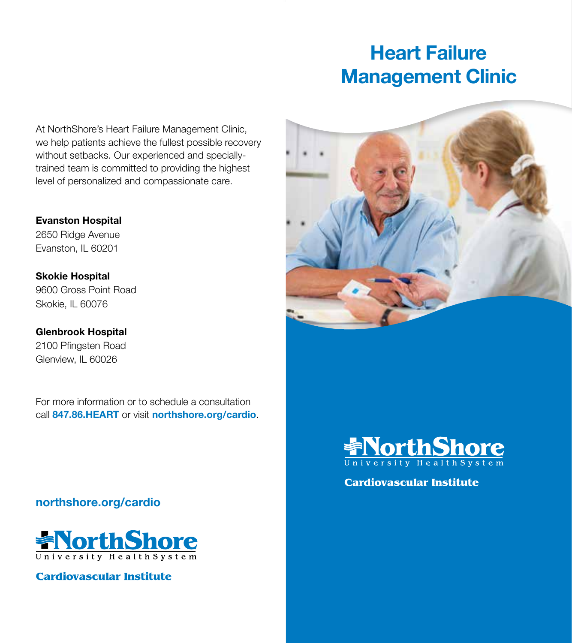# **Heart Failure Management Clinic**

At NorthShore's Heart Failure Management Clinic, we help patients achieve the fullest possible recovery without setbacks. Our experienced and speciallytrained team is committed to providing the highest level of personalized and compassionate care.

**Evanston Hospital** 2650 Ridge Avenue Evanston, IL 60201

**Skokie Hospital** 9600 Gross Point Road Skokie, IL 60076

**Glenbrook Hospital** 2100 Pfingsten Road Glenview, IL 60026

For more information or to schedule a consultation call **847.86.HEART** or visit **northshore.org/cardio**.

**northshore.org/cardio**



**Cardiovascular Institute** 





**Cardiovascular Institute**